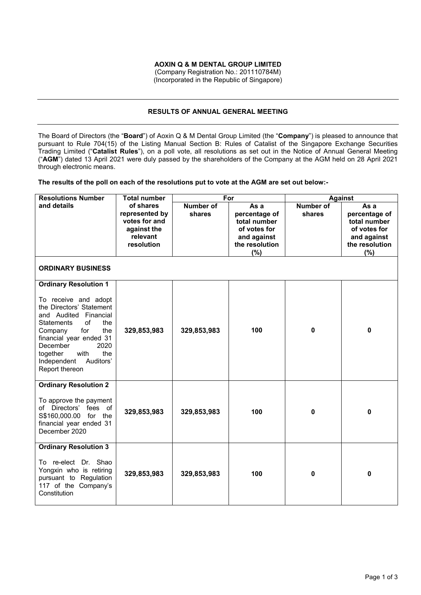## **AOXIN Q & M DENTAL GROUP LIMITED**

(Company Registration No.: 201110784M) (Incorporated in the Republic of Singapore)

#### **RESULTS OF ANNUAL GENERAL MEETING**

The Board of Directors (the "**Board**") of Aoxin Q & M Dental Group Limited (the "**Company**") is pleased to announce that pursuant to Rule 704(15) of the Listing Manual Section B: Rules of Catalist of the Singapore Exchange Securities Trading Limited ("**Catalist Rules**"), on a poll vote, all resolutions as set out in the Notice of Annual General Meeting ("**AGM**") dated 13 April 2021 were duly passed by the shareholders of the Company at the AGM held on 28 April 2021 through electronic means.

**The results of the poll on each of the resolutions put to vote at the AGM are set out below:-** 

| <b>Resolutions Number</b>                                                                                                                                                                                                                                                                    | <b>Total number</b>                                                                   | For                        |                                                                                                   | <b>Against</b>             |                                                                                               |
|----------------------------------------------------------------------------------------------------------------------------------------------------------------------------------------------------------------------------------------------------------------------------------------------|---------------------------------------------------------------------------------------|----------------------------|---------------------------------------------------------------------------------------------------|----------------------------|-----------------------------------------------------------------------------------------------|
| and details                                                                                                                                                                                                                                                                                  | of shares<br>represented by<br>votes for and<br>against the<br>relevant<br>resolution | <b>Number of</b><br>shares | As a<br>percentage of<br>total number<br>of votes for<br>and against<br>the resolution<br>$(\% )$ | <b>Number of</b><br>shares | As a<br>percentage of<br>total number<br>of votes for<br>and against<br>the resolution<br>(%) |
| <b>ORDINARY BUSINESS</b>                                                                                                                                                                                                                                                                     |                                                                                       |                            |                                                                                                   |                            |                                                                                               |
| <b>Ordinary Resolution 1</b><br>To receive and adopt<br>the Directors' Statement<br>and Audited Financial<br>of<br><b>Statements</b><br>the<br>for<br>the<br>Company<br>financial year ended 31<br>2020<br>December<br>with<br>the<br>together<br>Independent<br>Auditors'<br>Report thereon | 329,853,983                                                                           | 329,853,983                | 100                                                                                               | $\pmb{0}$                  | 0                                                                                             |
| <b>Ordinary Resolution 2</b><br>To approve the payment<br>of Directors' fees of<br>S\$160,000.00 for the<br>financial year ended 31<br>December 2020                                                                                                                                         | 329,853,983                                                                           | 329,853,983                | 100                                                                                               | $\mathbf 0$                | 0                                                                                             |
| <b>Ordinary Resolution 3</b><br>To re-elect Dr. Shao<br>Yongxin who is retiring<br>pursuant to Regulation<br>117 of the Company's<br>Constitution                                                                                                                                            | 329,853,983                                                                           | 329,853,983                | 100                                                                                               | $\bf{0}$                   | $\mathbf{0}$                                                                                  |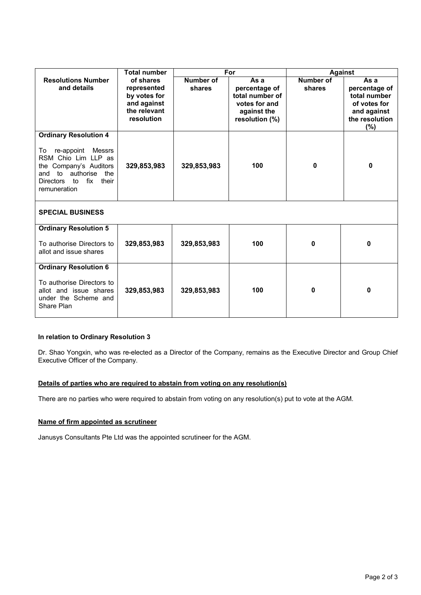|                                                                                                                                                                                                     | <b>Total number</b>                                                                   | For                 |                                                                                            | <b>Against</b>      |                                                                                                   |  |  |  |
|-----------------------------------------------------------------------------------------------------------------------------------------------------------------------------------------------------|---------------------------------------------------------------------------------------|---------------------|--------------------------------------------------------------------------------------------|---------------------|---------------------------------------------------------------------------------------------------|--|--|--|
| <b>Resolutions Number</b><br>and details                                                                                                                                                            | of shares<br>represented<br>by votes for<br>and against<br>the relevant<br>resolution | Number of<br>shares | As a<br>percentage of<br>total number of<br>votes for and<br>against the<br>resolution (%) | Number of<br>shares | As a<br>percentage of<br>total number<br>of votes for<br>and against<br>the resolution<br>$(\% )$ |  |  |  |
| <b>Ordinary Resolution 4</b><br>re-appoint<br>Messrs<br>To<br>RSM Chio Lim LLP as<br>the Company's Auditors<br>to authorise<br>the<br>and<br>fix<br>their<br><b>Directors</b><br>to<br>remuneration | 329,853,983                                                                           | 329,853,983         | 100                                                                                        | 0                   | 0                                                                                                 |  |  |  |
| <b>SPECIAL BUSINESS</b>                                                                                                                                                                             |                                                                                       |                     |                                                                                            |                     |                                                                                                   |  |  |  |
| <b>Ordinary Resolution 5</b>                                                                                                                                                                        |                                                                                       |                     |                                                                                            |                     |                                                                                                   |  |  |  |
| To authorise Directors to<br>allot and issue shares                                                                                                                                                 | 329,853,983                                                                           | 329,853,983         | 100                                                                                        | 0                   | 0                                                                                                 |  |  |  |
| <b>Ordinary Resolution 6</b>                                                                                                                                                                        |                                                                                       |                     |                                                                                            |                     |                                                                                                   |  |  |  |
| To authorise Directors to<br>allot and issue shares<br>under the Scheme and<br>Share Plan                                                                                                           | 329,853,983                                                                           | 329,853,983         | 100                                                                                        | 0                   | 0                                                                                                 |  |  |  |

# **In relation to Ordinary Resolution 3**

Dr. Shao Yongxin, who was re-elected as a Director of the Company, remains as the Executive Director and Group Chief Executive Officer of the Company.

# **Details of parties who are required to abstain from voting on any resolution(s)**

There are no parties who were required to abstain from voting on any resolution(s) put to vote at the AGM.

# **Name of firm appointed as scrutineer**

Janusys Consultants Pte Ltd was the appointed scrutineer for the AGM.